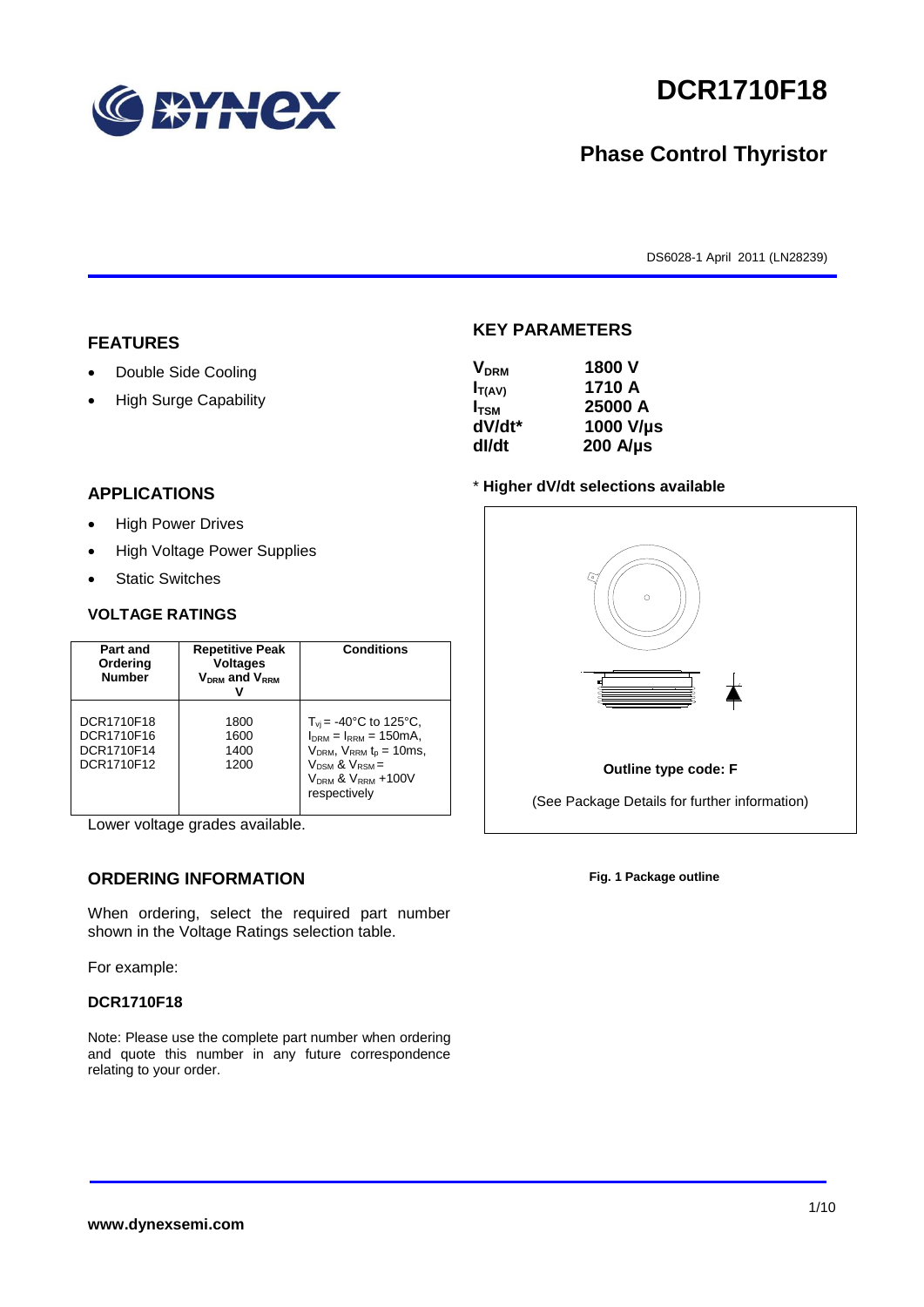

# **DCR1710F18**

## **Phase Control Thyristor**

DS6028-1 April 2011 (LN28239)

#### **FEATURES**

- Double Side Cooling
- High Surge Capability

#### **APPLICATIONS**

- High Power Drives
- High Voltage Power Supplies
- Static Switches

#### **VOLTAGE RATINGS**

| Part and<br>Ordering<br><b>Number</b>                | <b>Repetitive Peak</b><br><b>Voltages</b><br>$V_{DRM}$ and $V_{RRM}$ | <b>Conditions</b>                                                                                                                                                                    |
|------------------------------------------------------|----------------------------------------------------------------------|--------------------------------------------------------------------------------------------------------------------------------------------------------------------------------------|
| DCR1710F18<br>DCR1710F16<br>DCR1710F14<br>DCR1710F12 | 1800<br>1600<br>1400<br>1200                                         | $T_{vi}$ = -40°C to 125°C,<br>$I_{DRM} = I_{RRM} = 150 \text{mA}$<br>$V_{DRM}$ , $V_{RRM}$ $t_{p}$ = 10ms,<br>$V_{DSM}$ & $V_{RSM}$ =<br>$V_{DRM}$ & $V_{RRM}$ +100V<br>respectively |

Lower voltage grades available.

### **ORDERING INFORMATION**

When ordering, select the required part number shown in the Voltage Ratings selection table.

For example:

#### **DCR1710F18**

Note: Please use the complete part number when ordering and quote this number in any future correspondence relating to your order.

#### **KEY PARAMETERS**

| <b>V<sub>DRM</sub></b> | 1800 V           |
|------------------------|------------------|
| $I_{T(AV)}$            | 1710 A           |
| I <sub>TSM</sub>       | 25000 A          |
| dV/dt*                 | 1000 V/µs        |
| dl/dt                  | $200$ A/ $\mu$ s |

#### \* **Higher dV/dt selections available**



**Fig. 1 Package outline**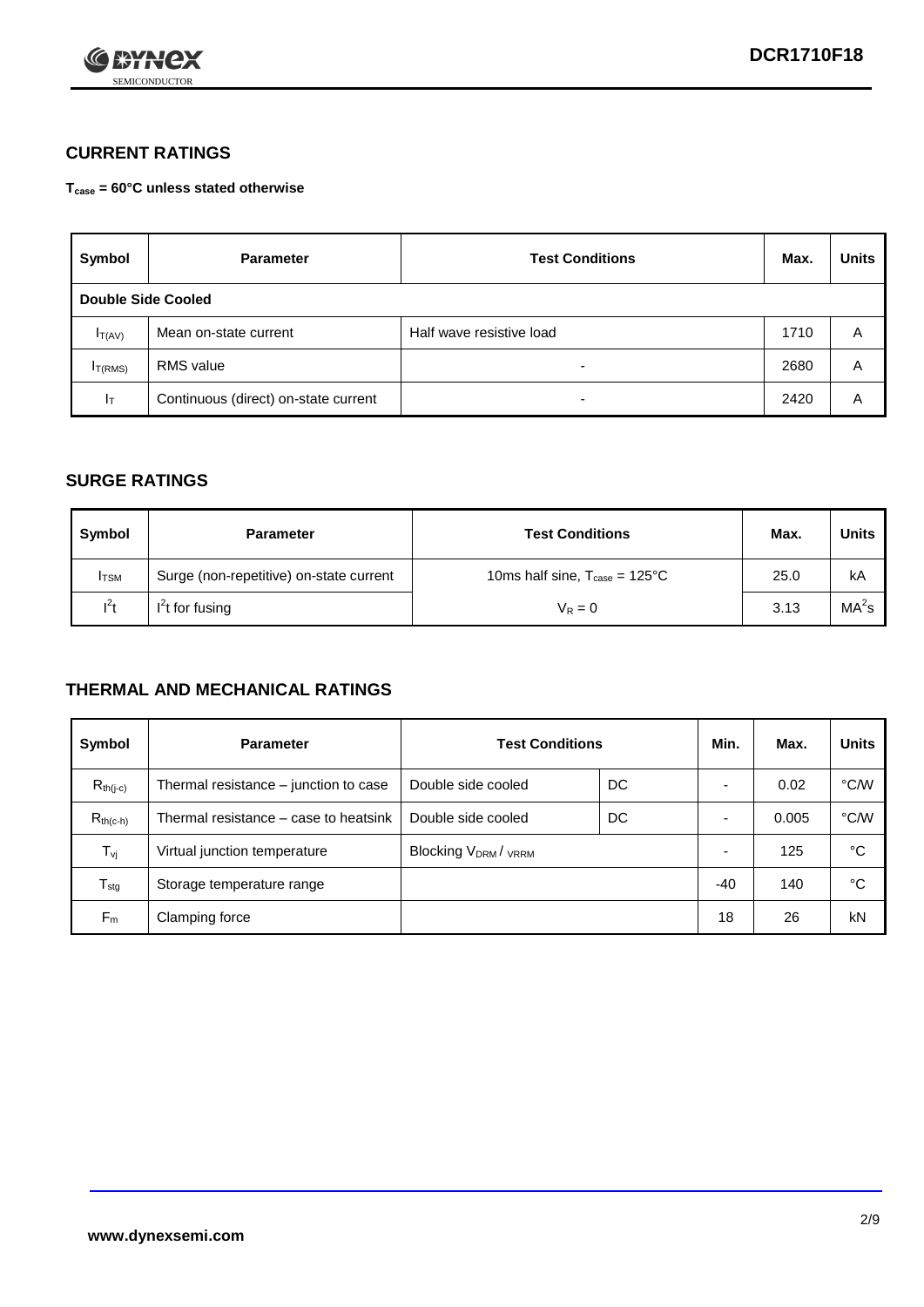

## **CURRENT RATINGS**

**Tcase = 60°C unless stated otherwise**

| Symbol             | <b>Parameter</b>                     | <b>Test Conditions</b>   |      | <b>Units</b> |  |
|--------------------|--------------------------------------|--------------------------|------|--------------|--|
| Double Side Cooled |                                      |                          |      |              |  |
| $I_{T(AV)}$        | Mean on-state current                | Half wave resistive load | 1710 | A            |  |
| $I_{T(RMS)}$       | RMS value                            | $\overline{\phantom{a}}$ | 2680 | Α            |  |
| Iт                 | Continuous (direct) on-state current | $\overline{\phantom{a}}$ | 2420 | Α            |  |

#### **SURGE RATINGS**

| Symbol       | <b>Parameter</b>                        | <b>Test Conditions</b>                           | Max. | <b>Units</b>      |
|--------------|-----------------------------------------|--------------------------------------------------|------|-------------------|
| <b>I</b> TSM | Surge (non-repetitive) on-state current | 10ms half sine, $T_{\text{case}} = 125^{\circ}C$ | 25.0 | kA                |
| $l^2t$       | $I2t$ for fusing                        | $V_R = 0$                                        | 3.13 | MA <sup>2</sup> s |

### **THERMAL AND MECHANICAL RATINGS**

| Symbol           | <b>Parameter</b>                      | <b>Test Conditions</b>    |    | Min.  | Max.  | <b>Units</b> |
|------------------|---------------------------------------|---------------------------|----|-------|-------|--------------|
| $R_{th(i-c)}$    | Thermal resistance – junction to case | Double side cooled        | DC |       | 0.02  | °C/W         |
| $R_{th(c-h)}$    | Thermal resistance – case to heatsink | Double side cooled        | DC |       | 0.005 | °C/W         |
| $T_{\nu j}$      | Virtual junction temperature          | <b>Blocking VDRM/VRRM</b> |    |       | 125   | °C           |
| $T_{\text{stg}}$ | Storage temperature range             |                           |    | $-40$ | 140   | °C           |
| $F_m$            | Clamping force                        |                           |    | 18    | 26    | kN           |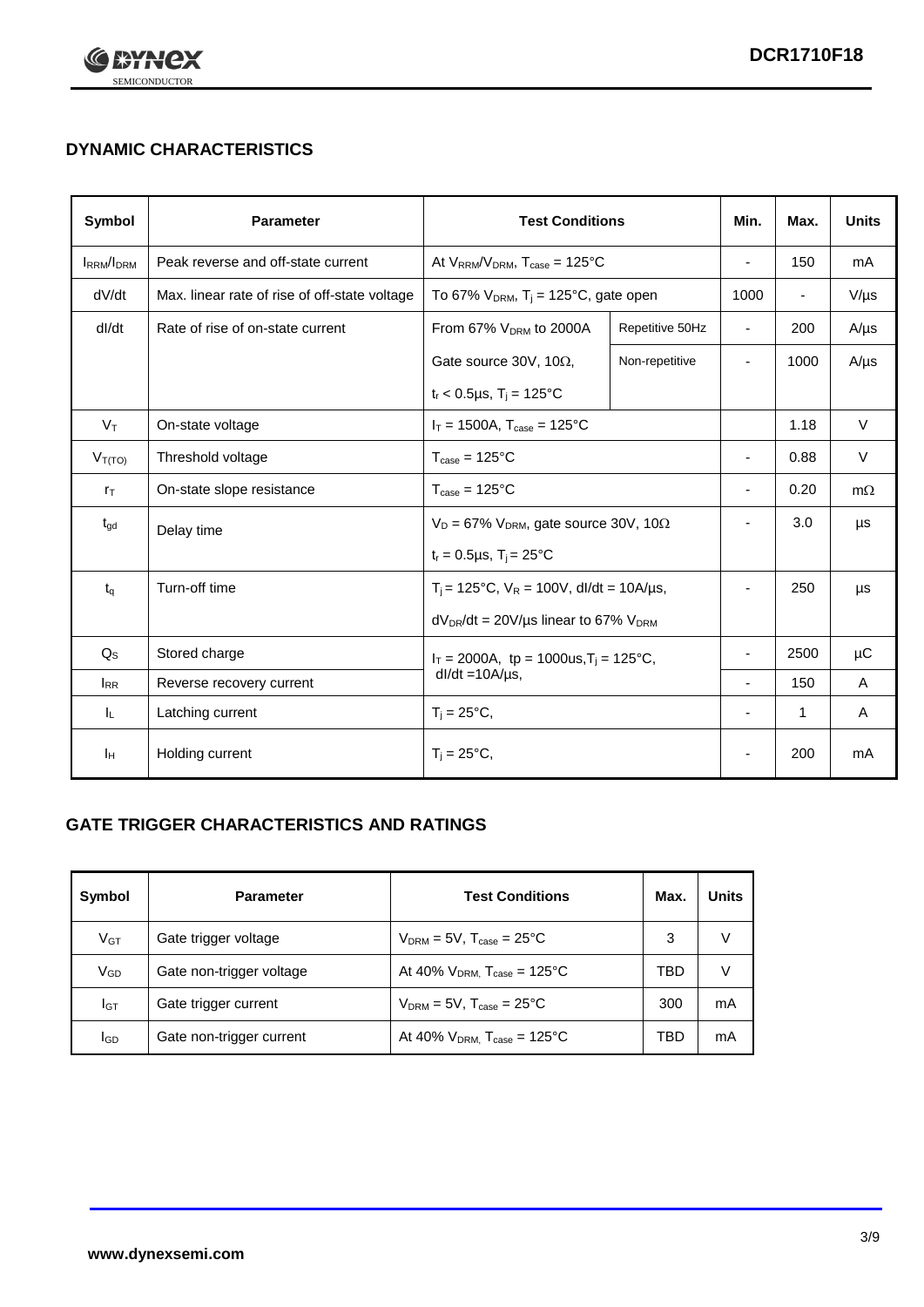

## **DYNAMIC CHARACTERISTICS**

| Symbol            | <b>Parameter</b>                              | <b>Test Conditions</b>                                                |                                                      | Min.                     | Max. | <b>Units</b> |
|-------------------|-----------------------------------------------|-----------------------------------------------------------------------|------------------------------------------------------|--------------------------|------|--------------|
| <b>IRRM</b> /IDRM | Peak reverse and off-state current            | At $V_{RRM}/V_{DRM}$ , $T_{case} = 125^{\circ}C$                      |                                                      | ÷,                       | 150  | mA           |
| dV/dt             | Max. linear rate of rise of off-state voltage |                                                                       | To 67% $V_{DRM}$ , T <sub>i</sub> = 125°C, gate open |                          |      | $V/\mu s$    |
| dl/dt             | Rate of rise of on-state current              | From 67% $V_{DRM}$ to 2000A                                           | Repetitive 50Hz                                      | $\overline{\phantom{a}}$ | 200  | $A/\mu s$    |
|                   |                                               | Gate source 30V, 10 $\Omega$ ,                                        | Non-repetitive                                       | -                        | 1000 | $A/\mu s$    |
|                   |                                               | $t_r$ < 0.5µs, $T_i$ = 125°C                                          |                                                      |                          |      |              |
| $V_T$             | On-state voltage                              | $I_T = 1500A$ , $T_{case} = 125^{\circ}C$                             |                                                      |                          | 1.18 | $\vee$       |
| $V_{T(TO)}$       | Threshold voltage                             | $T_{\text{case}} = 125^{\circ}C$                                      |                                                      |                          | 0.88 | $\vee$       |
| $r_{\text{T}}$    | On-state slope resistance                     | $T_{\text{case}} = 125^{\circ}C$                                      |                                                      | ٠                        | 0.20 | $m\Omega$    |
| $t_{\rm gd}$      | Delay time                                    | $V_D = 67\%$ V <sub>DRM</sub> , gate source 30V, 10 $\Omega$          |                                                      | ٠                        | 3.0  | μs           |
|                   |                                               | $t_r = 0.5 \mu s$ , $T_i = 25^{\circ}C$                               |                                                      |                          |      |              |
| $t_q$             | Turn-off time                                 | $T_i$ = 125°C, $V_R$ = 100V, dl/dt = 10A/µs,                          |                                                      | $\overline{\phantom{a}}$ | 250  | μs           |
|                   |                                               | $dV_{DR}/dt = 20V/\mu s$ linear to 67% $V_{DRM}$                      |                                                      |                          |      |              |
| $Q_{\rm S}$       | Stored charge                                 | $I_T = 2000A$ , tp = 1000us, $T_i = 125$ °C,<br>$dl/dt = 10A/\mu s$ , |                                                      |                          | 2500 | $\mu$ C      |
| $I_{RR}$          | Reverse recovery current                      |                                                                       |                                                      |                          | 150  | A            |
| IL.               | Latching current                              | $T_i = 25^{\circ}C,$                                                  |                                                      | ٠                        | 1    | Α            |
| Iн                | Holding current                               | $T_i = 25^{\circ}C,$                                                  |                                                      |                          | 200  | mA           |

## **GATE TRIGGER CHARACTERISTICS AND RATINGS**

| Symbol          | <b>Test Conditions</b><br><b>Parameter</b> |                                           | Max. | <b>Units</b> |
|-----------------|--------------------------------------------|-------------------------------------------|------|--------------|
| V <sub>GT</sub> | Gate trigger voltage                       | $V_{DRM}$ = 5V, $T_{case}$ = 25°C         | 3    |              |
| $V_{GD}$        | Gate non-trigger voltage                   | At 40% $V_{DRM}$ , $T_{case}$ = 125°C     | TBD  |              |
| Iст             | Gate trigger current                       | $V_{DRM} = 5V$ , $T_{case} = 25^{\circ}C$ | 300  | mA           |
| <b>I</b> GD     | Gate non-trigger current                   | At 40% $V_{DRM}$ , $T_{case}$ = 125°C     | TBD  | mA           |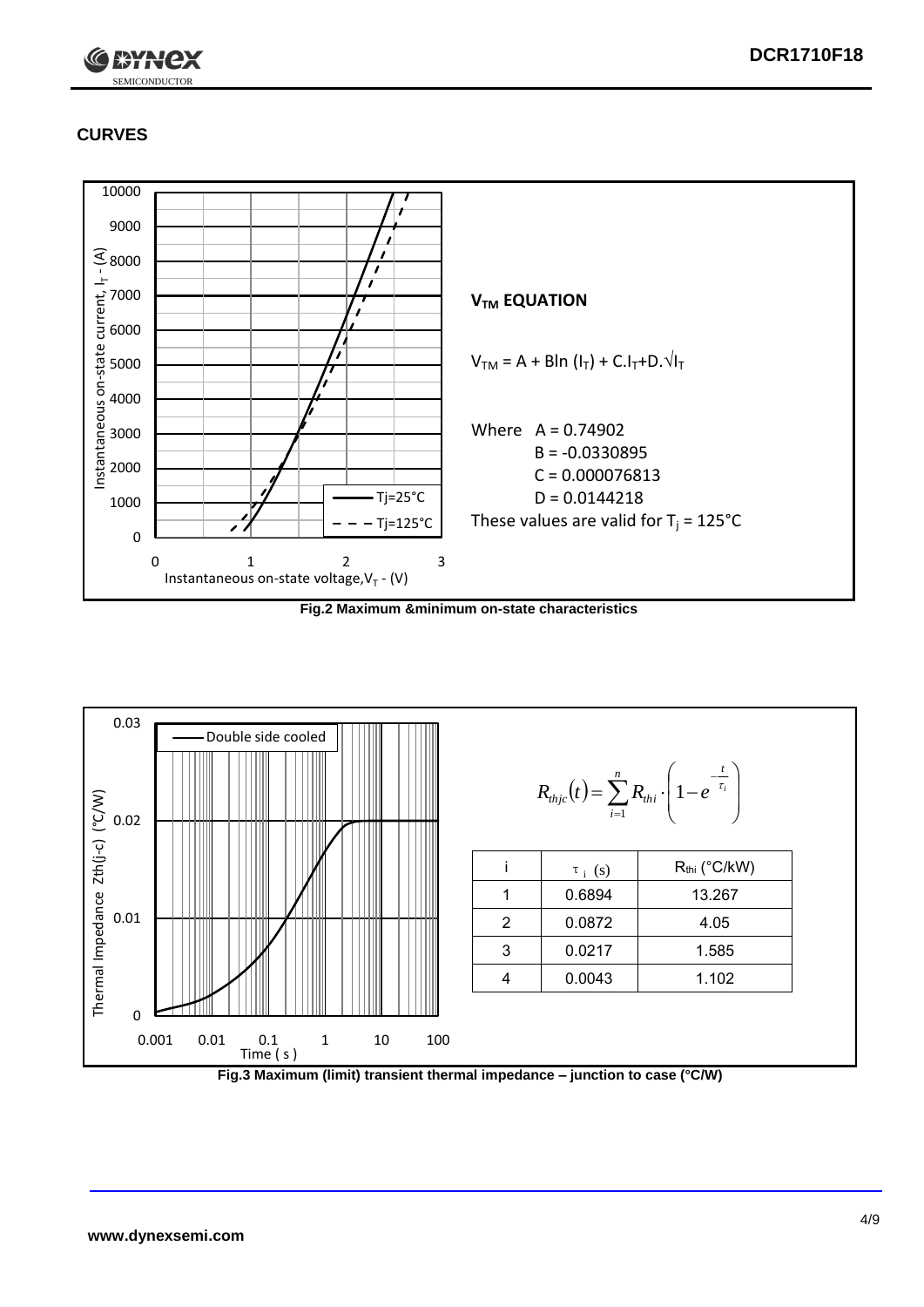

## **CURVES**



**Fig.2 Maximum &minimum on-state characteristics**



**Fig.3 Maximum (limit) transient thermal impedance – junction to case (°C/W)**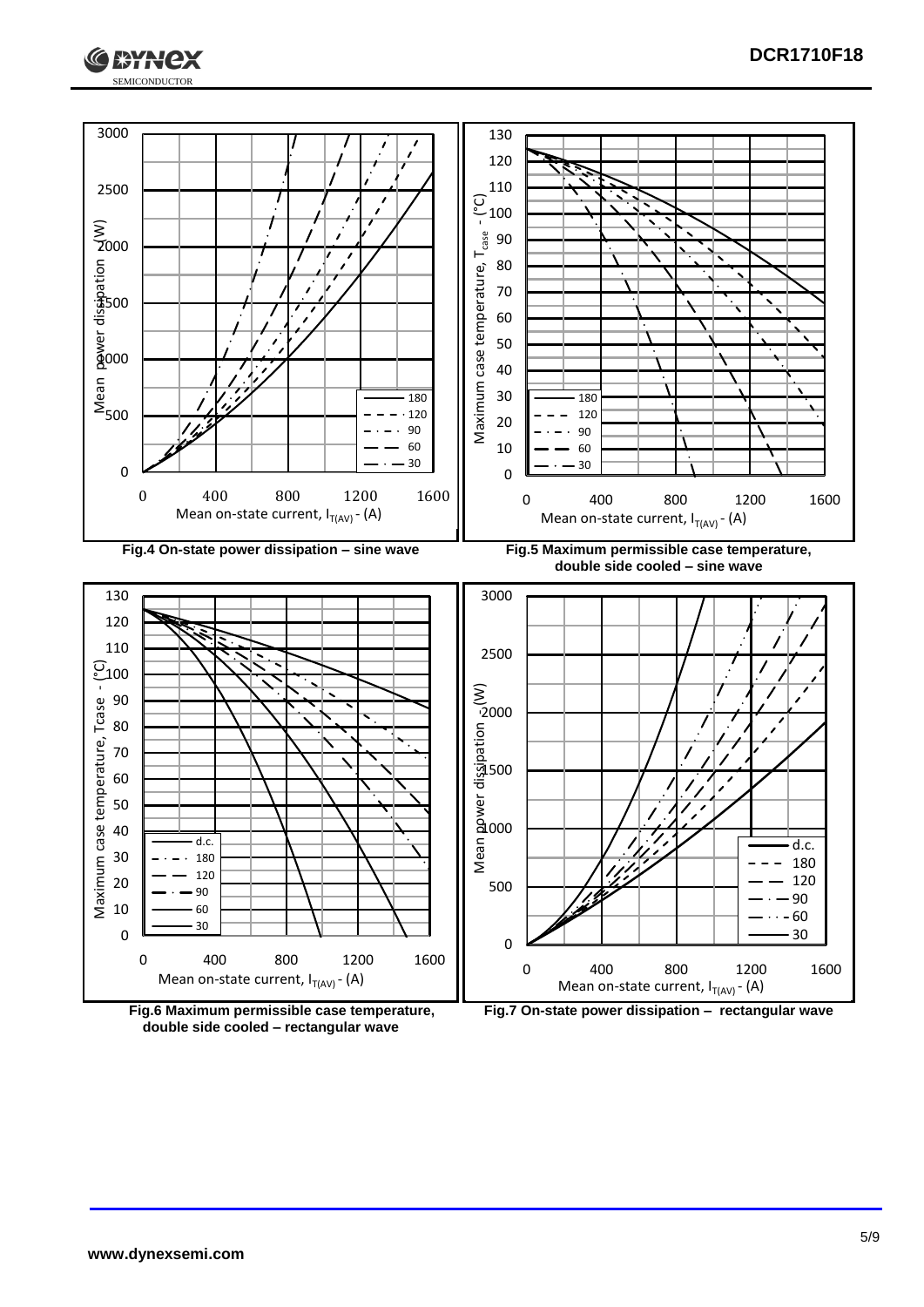



**double side cooled – rectangular wave**

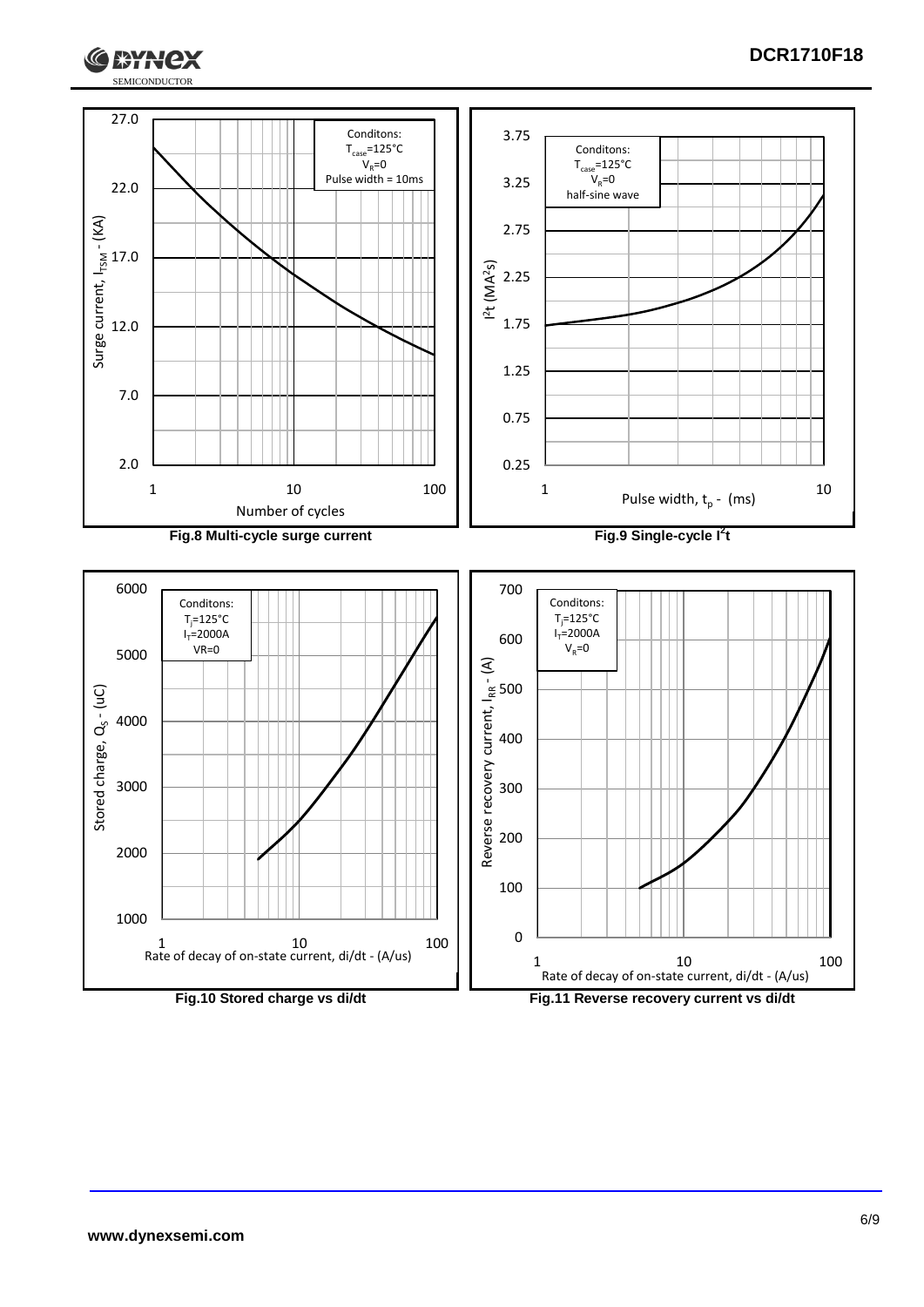

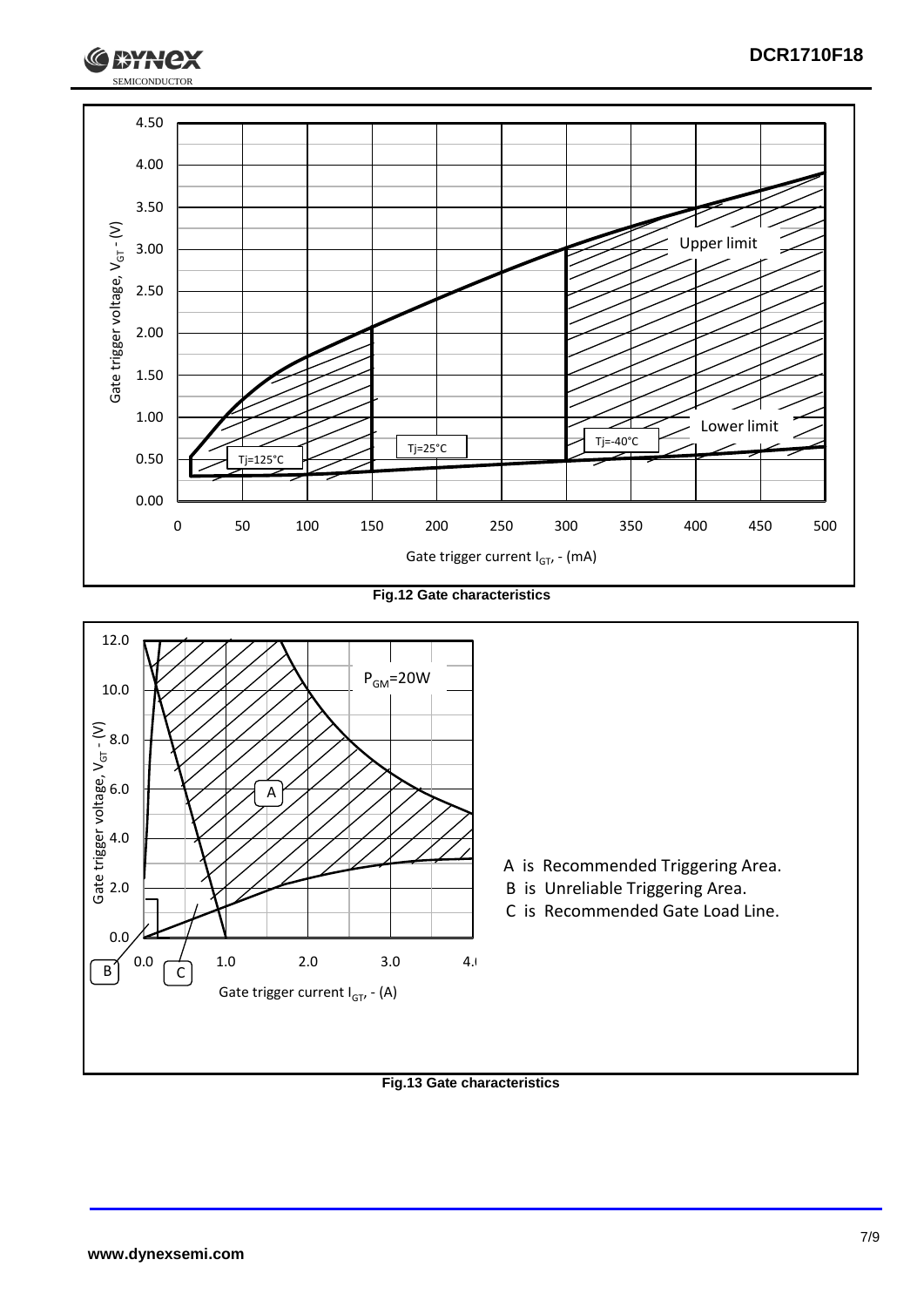

**Fig.12 Gate characteristics**



**Fig.13 Gate characteristics**

SEMICONDUCTOR

**RYH**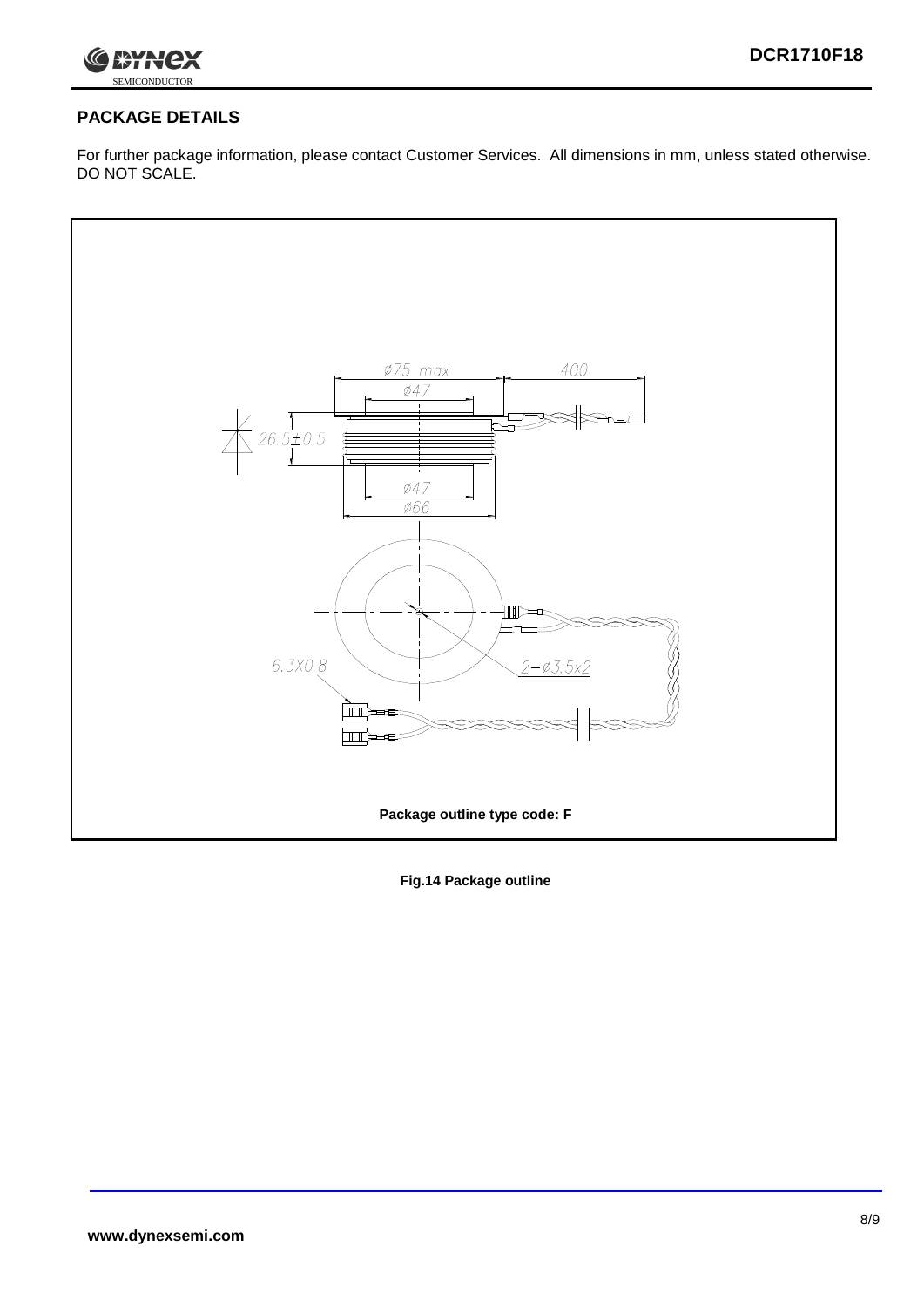

## **PACKAGE DETAILS**

For further package information, please contact Customer Services. All dimensions in mm, unless stated otherwise. DO NOT SCALE.



**Fig.14 Package outline**